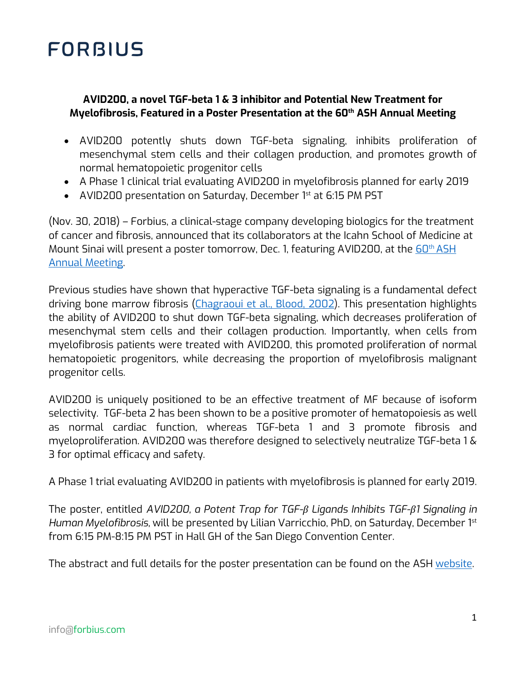## **FORBIUS**

### **AVID200, a novel TGF-beta 1 & 3 inhibitor and Potential New Treatment for Myelofibrosis, Featured in a Poster Presentation at the 60th ASH Annual Meeting**

- AVID200 potently shuts down TGF-beta signaling, inhibits proliferation of mesenchymal stem cells and their collagen production, and promotes growth of normal hematopoietic progenitor cells
- A Phase 1 clinical trial evaluating AVID200 in myelofibrosis planned for early 2019
- AVID200 presentation on Saturday, December 1st at 6:15 PM PST

(Nov. 30, 2018) – Forbius, a clinical-stage company developing biologics for the treatment of cancer and fibrosis, announced that its collaborators at the Icahn School of Medicine at Mount Sinai will present a poster tomorrow, Dec. 1, featuring AVID200, at the  $60<sup>th</sup> ASH$ Annual Meeting.

Previous studies have shown that hyperactive TGF-beta signaling is a fundamental defect driving bone marrow fibrosis (Chagraoui et al., Blood, 2002). This presentation highlights the ability of AVID200 to shut down TGF-beta signaling, which decreases proliferation of mesenchymal stem cells and their collagen production. Importantly, when cells from myelofibrosis patients were treated with AVID200, this promoted proliferation of normal hematopoietic progenitors, while decreasing the proportion of myelofibrosis malignant progenitor cells.

AVID200 is uniquely positioned to be an effective treatment of MF because of isoform selectivity. TGF-beta 2 has been shown to be a positive promoter of hematopoiesis as well as normal cardiac function, whereas TGF-beta 1 and 3 promote fibrosis and myeloproliferation. AVID200 was therefore designed to selectively neutralize TGF-beta 1 & 3 for optimal efficacy and safety.

A Phase 1 trial evaluating AVID200 in patients with myelofibrosis is planned for early 2019.

The poster, entitled *AVID200, a Potent Trap for TGF-β Ligands Inhibits TGF-β1 Signaling in Human Myelofibrosis,* will be presented by Lilian Varricchio, PhD, on Saturday, December 1st from 6:15 PM-8:15 PM PST in Hall GH of the San Diego Convention Center.

The abstract and full details for the poster presentation can be found on the ASH website.